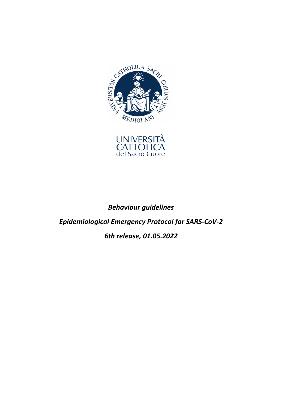



*Behaviour guidelines Epidemiological Emergency Protocol for SARS-CoV-2 6th release, 01.05.2022*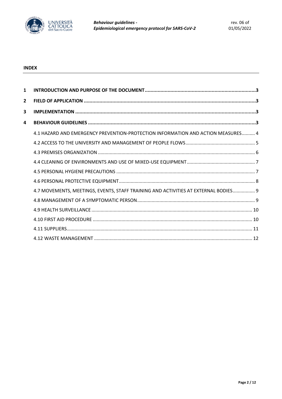

**Behaviour guidelines -**Epidemiological emergency protocol for SARS-CoV-2

# **INDEX**

| $\mathbf{1}$   |                                                                                     |  |
|----------------|-------------------------------------------------------------------------------------|--|
| $\overline{2}$ |                                                                                     |  |
| 3              |                                                                                     |  |
| 4              |                                                                                     |  |
|                | 4.1 HAZARD AND EMERGENCY PREVENTION-PROTECTION INFORMATION AND ACTION MEASURES 4    |  |
|                |                                                                                     |  |
|                |                                                                                     |  |
|                |                                                                                     |  |
|                |                                                                                     |  |
|                |                                                                                     |  |
|                | 4.7 MOVEMENTS, MEETINGS, EVENTS, STAFF TRAINING AND ACTIVITIES AT EXTERNAL BODIES 9 |  |
|                |                                                                                     |  |
|                |                                                                                     |  |
|                |                                                                                     |  |
|                |                                                                                     |  |
|                |                                                                                     |  |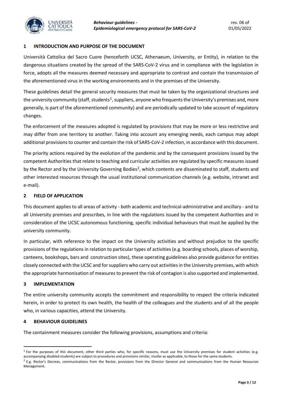

#### **1 INTRODUCTION AND PURPOSE OF THE DOCUMENT**

Università Cattolica del Sacro Cuore (henceforth UCSC, Athenaeum, University, or Entity), in relation to the dangerous situations created by the spread of the SARS-CoV-2 virus and in compliance with the legislation in force, adopts all the measures deemed necessary and appropriate to contrast and contain the transmission of the aforementioned virus in the working environments and in the premises of the University.

These guidelines detail the general security measures that must be taken by the organizational structures and the university community (staff, students<sup>[1](#page-2-0)</sup>, suppliers, anyone who frequents the University's premises and, more generally, is part of the aforementioned community) and are periodically updated to take account of regulatory changes.

The enforcement of the measures adopted is regulated by provisions that may be more or less restrictive and may differ from one territory to another. Taking into account any emerging needs, each campus may adopt additional provisions to counter and contain the risk of SARS-CoV-2 infection, in accordance with this document.

The priority actions required by the evolution of the pandemic and by the consequent provisions issued by the competent Authorities that relate to teaching and curricular activities are regulated by specific measures issued by the Rector and by the University Governing Bodies<sup>[2](#page-2-1)</sup>, which contents are disseminated to staff, students and other interested resources through the usual institutional communication channels (e.g. website, intranet and e-mail).

## **2 FIELD OF APPLICATION**

This document applies to all areas of activity - both academic and technical-administrative and ancillary - and to all University premises and prescribes, in line with the regulations issued by the competent Authorities and in consideration of the UCSC autonomous functioning, specific individual behaviours that must be applied by the university community.

In particular, with reference to the impact on the University activities and without prejudice to the specific provisions of the regulations in relation to particular types of activities (e.g. boarding schools, places of worship, canteens, bookshops, bars and construction sites), these operating guidelines also provide guidance for entities closely connected with the UCSC and for suppliers who carry out activities in the University premises, with which the appropriate harmonisation of measures to prevent the risk of contagion is also supported and implemented.

## **3 IMPLEMENTATION**

The entire university community accepts the commitment and responsibility to respect the criteria indicated herein, in order to protect its own health, the health of the colleagues and the students and of all the people who, in various capacities, attend the University.

#### **4 BEHAVIOUR GUIDELINES**

The containment measures consider the following provisions, assumptions and criteria:

<span id="page-2-0"></span> $1$  For the purposes of this document, other third parties who, for specific reasons, must use the University premises for student activities (e.g. accompanying disabled students) are subject to procedures and provisions similar, insofar as applicable, to those for the same students.

<span id="page-2-1"></span><sup>&</sup>lt;sup>2</sup> E.g. Rector's Decrees, communications from the Rector, provisions from the Director General and communications from the Human Resources Management.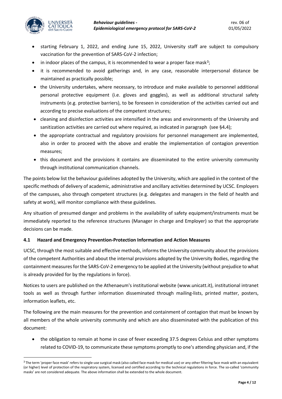

l

- starting February 1, 2022, and ending June 15, 2022, University staff are subject to compulsory vaccination for the prevention of SARS-CoV-2 infection;
- in indoor places of the campus, it is recommended to wear a proper face mask<sup>3</sup>;
- it is recommended to avoid gatherings and, in any case, reasonable interpersonal distance be maintained as practically possible;
- the University undertakes, where necessary, to introduce and make available to personnel additional personal protective equipment (i.e. gloves and goggles), as well as additional structural safety instruments (e.g. protective barriers), to be foreseen in consideration of the activities carried out and according to precise evaluations of the competent structures;
- cleaning and disinfection activities are intensified in the areas and environments of the University and sanitization activities are carried out where required, as indicated in paragraph (see §4**.**4);
- the appropriate contractual and regulatory provisions for personnel management are implemented, also in order to proceed with the above and enable the implementation of contagion prevention measures;
- this document and the provisions it contains are disseminated to the entire university community through institutional communication channels.

The points below list the behaviour guidelines adopted by the University, which are applied in the context of the specific methods of delivery of academic, administrative and ancillary activities determined by UCSC. Employers of the campuses, also through competent structures (e.g. delegates and managers in the field of health and safety at work), will monitor compliance with these guidelines.

Any situation of presumed danger and problems in the availability of safety equipment/instruments must be immediately reported to the reference structures (Manager in charge and Employer) so that the appropriate decisions can be made.

# **4.1 Hazard and Emergency Prevention-Protection Information and Action Measures**

UCSC, through the most suitable and effective methods, informs the University community about the provisions of the competent Authorities and about the internal provisions adopted by the University Bodies, regarding the containment measures for the SARS-CoV-2 emergency to be applied at the University (without prejudice to what is already provided for by the regulations in force).

Notices to users are published on the Athenaeum's institutional website (www.unicatt.it), institutional intranet tools as well as through further information disseminated through mailing-lists, printed matter, posters, information leaflets, etc.

The following are the main measures for the prevention and containment of contagion that must be known by all members of the whole university community and which are also disseminated with the publication of this document:

• the obligation to remain at home in case of fever exceeding 37.5 degrees Celsius and other symptoms related to COVID-19, to communicate these symptoms promptly to one's attending physician and, if the

<span id="page-3-0"></span><sup>&</sup>lt;sup>3</sup> The term 'proper face mask' refers to single-use surgical mask (also called face mask for medical use) or any other filtering face mask with an equivalent (or higher) level of protection of the respiratory system, licensed and certified according to the technical regulations in force. The so-called 'community masks' are not considered adequate. The above information shall be extended to the whole document.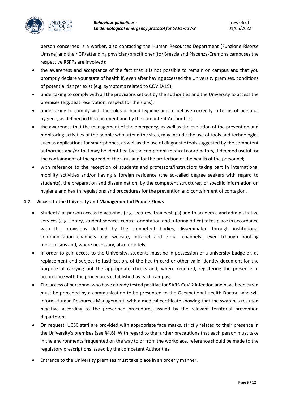

person concerned is a worker, also contacting the Human Resources Department (Funzione Risorse Umane) and their GP/attending physician/practitioner(for Brescia and Piacenza-Cremona campuses the respective RSPPs are involved);

- the awareness and acceptance of the fact that it is not possible to remain on campus and that you promptly declare your state of health if, even after having accessed the University premises, conditions of potential danger exist (e.g. symptoms related to COVID-19);
- undertaking to comply with all the provisions set out by the authorities and the University to access the premises (e.g. seat reservation, respect for the signs);
- undertaking to comply with the rules of hand hygiene and to behave correctly in terms of personal hygiene, as defined in this document and by the competent Authorities;
- the awareness that the management of the emergency, as well as the evolution of the prevention and monitoring activities of the people who attend the sites, may include the use of tools and technologies such as applications for smartphones, as well as the use of diagnostic tools suggested by the competent authorities and/or that may be identified by the competent medical coordinators, if deemed useful for the containment of the spread of the virus and for the protection of the health of the personnel;
- with reference to the reception of students and professors/instructors taking part in international mobility activities and/or having a foreign residence (the so-called degree seekers with regard to students), the preparation and dissemination, by the competent structures, of specific information on hygiene and health regulations and procedures for the prevention and containment of contagion.

## **4.2 Access to the University and Management of People Flows**

- Students' in-person access to activities (e.g. lectures, traineeships) and to academic and administrative services (e.g. library, student services centre, orientation and tutoring office) takes place in accordance with the provisions defined by the competent bodies, disseminated through institutional communication channels (e.g. website, intranet and e-mail channels), even trhough booking mechanisms and, where necessary, also remotely.
- In order to gain access to the University, students must be in possession of a university badge or, as replacement and subject to justification, of the health card or other valid identity document for the purpose of carrying out the appropriate checks and, where required, registering the presence in accordance with the procedures established by each campus;
- The access of personnel who have already tested positive for SARS-CoV-2 infection and have been cured must be preceded by a communication to be presented to the Occupational Health Doctor, who will inform Human Resources Management, with a medical certificate showing that the swab has resulted negative according to the prescribed procedures, issued by the relevant territorial prevention department.
- On request, UCSC staff are provided with appropriate face masks, strictly related to their presence in the University's premises (see §4.6). With regard to the further precautions that each person must take in the environments frequented on the way to or from the workplace, reference should be made to the regulatory prescriptions issued by the competent Authorities.
- Entrance to the University premises must take place in an orderly manner.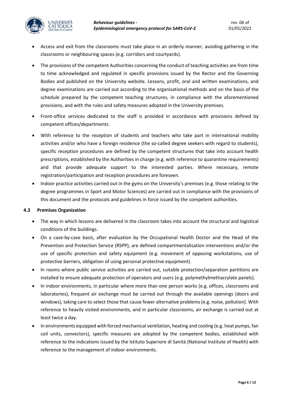

- Access and exit from the classrooms must take place in an orderly manner, avoiding gathering in the classrooms or neighbouring spaces (e.g. corridors and courtyards).
- The provisions of the competent Authorities concerning the conduct of teaching activities are from time to time acknowledged and regulated in specific provisions issued by the Rector and the Governing Bodies and published on the University website. Lessons, profit, oral and written examinations, and degree examinations are carried out according to the organisational methods and on the basis of the schedule prepared by the competent teaching structures, in compliance with the aforementioned provisions, and with the rules and safety measures adopted in the University premises.
- Front-office services dedicated to the staff is provided in accordance with provisions defined by competent offices/departments.
- With reference to the reception of students and teachers who take part in international mobility activities and/or who have a foreign residence (the so-called degree seekers with regard to students), specific reception procedures are defined by the competent structures that take into account health prescriptions, established by the Authorities in charge (e.g. with reference to quarantine requirements) and that provide adequate support to the interested parties. Where necessary, remote registration/participation and reception procedures are foreseen.
- Indoor practice activities carried out in the gyms on the University's premises (e.g. those relating to the degree programmes in Sport and Motor Sciences) are carried out in compliance with the provisions of this document and the protocols and guidelines in force issued by the competent authorities.

## **4.3 Premises Organization**

- The way in which lessons are delivered in the classroom takes into account the structural and logistical conditions of the buildings.
- On a case-by-case basis, after evaluation by the Occupational Health Doctor and the Head of the Prevention and Protection Service (RSPP), are defined compartmentalisation interventions and/or the use of specific protection and safety equipment (e.g. movement of opposing workstations, use of protective barriers, obligation of using personal protective equipment).
- In rooms where public service activities are carried out, suitable protection/separation partitions are installed to ensure adequate protection of operators and users (e.g. polymethylmethacrylate panels).
- In indoor environments, in particular where more than one person works (e.g. offices, classrooms and laboratories), frequent air exchange must be carried out through the available openings (doors and windows), taking care to select those that cause fewer alternative problems (e.g. noise, pollution). With reference to heavily visited environments, and in particular classrooms, air exchange is carried out at least twice a day.
- In environments equipped with forced mechanical ventilation, heating and cooling (e.g. heat pumps, fan coil units, convectors), specific measures are adopted by the competent bodies, established with reference to the indications issued by the Istituto Superiore di Sanità (National Institute of Health) with reference to the management of indoor environments.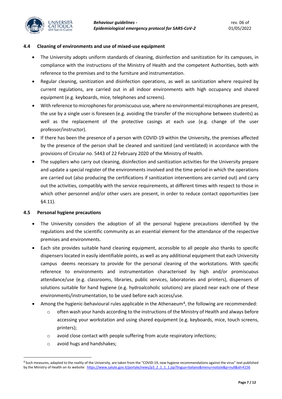

## **4.4 Cleaning of environments and use of mixed-use equipment**

- The University adopts uniform standards of cleaning, disinfection and sanitization for its campuses, in compliance with the instructions of the Ministry of Health and the competent Authorities, both with reference to the premises and to the furniture and instrumentation.
- Regular cleaning, sanitization and disinfection operations, as well as sanitization where required by current regulations, are carried out in all indoor environments with high occupancy and shared equipment (e.g. keyboards, mice, telephones and screens).
- With reference to microphones for promiscuous use, where no environmental microphones are present, the use by a single user is foreseen (e.g. avoiding the transfer of the microphone between students) as well as the replacement of the protective casings at each use (e.g. change of the user professor/instructor).
- If there has been the presence of a person with COVID-19 within the University, the premises affected by the presence of the person shall be cleaned and sanitized (and ventilated) in accordance with the provisions of Circular no. 5443 of 22 February 2020 of the Ministry of Health.
- The suppliers who carry out cleaning, disinfection and sanitization activities for the University prepare and update a special register of the environments involved and the time period in which the operations are carried out (also producing the certifications if sanitization interventions are carried out) and carry out the activities, compatibly with the service requirements, at different times with respect to those in which other personnel and/or other users are present, in order to reduce contact opportunities (see §4.11).

# **4.5 Personal hygiene precautions**

- The University considers the adoption of all the personal hygiene precautions identified by the regulations and the scientific community as an essential element for the attendance of the respective premises and environments.
- Each site provides suitable hand cleaning equipment, accessible to all people also thanks to specific dispensers located in easily identifiable points, as well as any additional equipment that each University campus deems necessary to provide for the personal cleaning of the workstations. With specific reference to environments and instrumentation characterised by high and/or promiscuous attendance/use (e.g. classrooms, libraries, public services, laboratories and printers), dispensers of solutions suitable for hand hygiene (e.g. hydroalcoholic solutions) are placed near each one of these environments/instrumentation, to be used before each access/use.
- Among the hygienic-behavioural rules applicable in the Athenaeum<sup>4</sup>, the following are recommended:
	- $\circ$  often wash your hands according to the instructions of the Ministry of Health and always before accessing your workstation and using shared equipment (e.g. keyboards, mice, touch screens, printers);
	- o avoid close contact with people suffering from acute respiratory infections;
	- o avoid hugs and handshakes;

l

<span id="page-6-0"></span><sup>4</sup> Such measures, adapted to the reality of the University, are taken from the "COVID-19, new hygiene recommendations against the virus" text published by the Ministry of Health on its website: [https://www.salute.gov.it/portale/news/p3\\_2\\_1\\_1\\_1.jsp?lingua=italiano&menu=notizie&p=null&id=4156](https://www.salute.gov.it/portale/news/p3_2_1_1_1.jsp?lingua=italiano&menu=notizie&p=null&id=4156)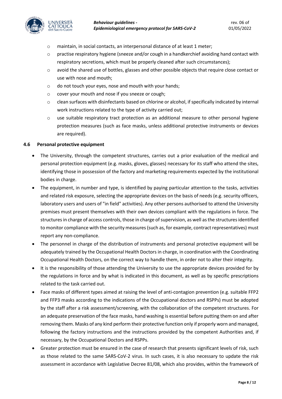

- o maintain, in social contacts, an interpersonal distance of at least 1 meter;
- $\circ$  practise respiratory hygiene (sneeze and/or cough in a handkerchief avoiding hand contact with respiratory secretions, which must be properly cleaned after such circumstances);
- $\circ$  avoid the shared use of bottles, glasses and other possible objects that require close contact or use with nose and mouth;
- o do not touch your eyes, nose and mouth with your hands;
- o cover your mouth and nose if you sneeze or cough;
- o clean surfaces with disinfectants based on chlorine or alcohol, if specifically indicated by internal work instructions related to the type of activity carried out;
- $\circ$  use suitable respiratory tract protection as an additional measure to other personal hygiene protection measures (such as face masks, unless additional protective instruments or devices are required).

#### **4.6 Personal protective equipment**

- The University, through the competent structures, carries out a prior evaluation of the medical and personal protection equipment (e.g. masks, gloves, glasses) necessary for its staff who attend the sites, identifying those in possession of the factory and marketing requirements expected by the institutional bodies in charge.
- The equipment, in number and type, is identified by paying particular attention to the tasks, activities and related risk exposure, selecting the appropriate devices on the basis of needs (e.g. security officers, laboratory users and users of "in field" activities). Any other persons authorised to attend the University premises must present themselves with their own devices compliant with the regulations in force. The structures in charge of access controls, those in charge of supervision, as well as the structures identified to monitor compliance with the security measures (such as, for example, contract representatives) must report any non-compliance.
- The personnel in charge of the distribution of instruments and personal protective equipment will be adequately trained by the Occupational Health Doctors in charge, in coordination with the Coordinating Occupational Health Doctors, on the correct way to handle them, in order not to alter their integrity.
- It is the responsibility of those attending the University to use the appropriate devices provided for by the regulations in force and by what is indicated in this document, as well as by specific prescriptions related to the task carried out.
- Face masks of different types aimed at raising the level of anti-contagion prevention (e.g. suitable FFP2 and FFP3 masks according to the indications of the Occupational doctors and RSPPs) must be adopted by the staff after a risk assessment/screening, with the collaboration of the competent structures. For an adequate preservation of the face masks, hand washing is essential before putting them on and after removing them. Masks of any kind perform their protective function only if properly worn and managed, following the factory instructions and the instructions provided by the competent Authorities and, if necessary, by the Occupational Doctors and RSPPs.
- Greater protection must be ensured in the case of research that presents significant levels of risk, such as those related to the same SARS-CoV-2 virus. In such cases, it is also necessary to update the risk assessment in accordance with Legislative Decree 81/08, which also provides, within the framework of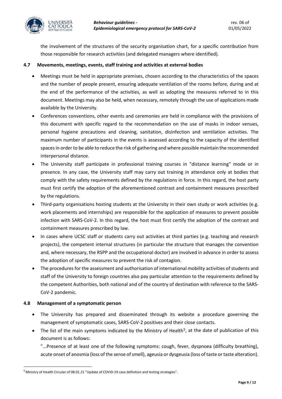

the involvement of the structures of the security organisation chart, for a specific contribution from those responsible for research activities (and delegated managers where identified).

## **4.7 Movements, meetings, events, staff training and activities at external bodies**

- Meetings must be held in appropriate premises, chosen according to the characteristics of the spaces and the number of people present, ensuring adequate ventilation of the rooms before, during and at the end of the performance of the activities, as well as adopting the measures referred to in this document. Meetings may also be held, when necessary, remotely through the use of applications made available by the University.
- Conferences conventions, other events and ceremonies are held in compliance with the provisions of this document with specific regard to the recommendation on the use of masks in indoor venues, personal hygiene precautions and cleaning, sanitation, disinfection and ventilation activities. The maximum number of participants in the events is assessed according to the capacity of the identified spaces in order to be able to reduce the risk of gathering and where possible maintain the recommended interpersonal distance.
- The University staff participate in professional training courses in "distance learning" mode or in presence. In any case, the University staff may carry out training in attendance only at bodies that comply with the safety requirements defined by the regulations in force. In this regard, the host party must first certify the adoption of the aforementioned contrast and containment measures prescribed by the regulations.
- Third-party organisations hosting students at the University in their own study or work activities (e.g. work placements and internships) are responsible for the application of measures to prevent possible infection with SARS-CoV-2. In this regard, the host must first certify the adoption of the contrast and containment measures prescribed by law.
- In cases where UCSC staff or students carry out activities at third parties (e.g. teaching and research projects), the competent internal structures (in particular the structure that manages the convention and, where necessary, the RSPP and the occupational doctor) are involved in advance in order to assess the adoption of specific measures to prevent the risk of contagion.
- The procedures for the assessment and authorisation of international mobility activities of students and staff of the University to foreign countries also pay particular attention to the requirements defined by the competent Authorities, both national and of the country of destination with reference to the SARS-CoV-2 pandemic.

## **4.8 Management of a symptomatic person**

l

- The University has prepared and disseminated through its website a procedure governing the management of symptomatic cases, SARS-CoV-2 positives and their close contacts.
- The list of the main symptoms indicated by the Ministry of Health<sup>5</sup>, at the date of publication of this document is as follows:

"...Presence of at least one of the following symptoms: cough, fever, dyspnoea (difficulty breathing), acute onset of anosmia (loss of the sense of smell), ageusia or dysgeusia (loss of taste or taste alteration).

<span id="page-8-0"></span><sup>5</sup> Ministry of Health Circular of 08.01.21 "Update of COVID-19 case definition and testing strategies".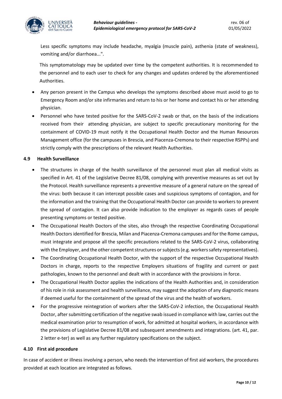

Less specific symptoms may include headache, myalgia (muscle pain), asthenia (state of weakness), vomiting and/or diarrhoea...".

This symptomatology may be updated over time by the competent authorities. It is recommended to the personnel and to each user to check for any changes and updates ordered by the aforementioned Authorities.

- Any person present in the Campus who develops the symptoms described above must avoid to go to Emergency Room and/or site infirmaries and return to his or her home and contact his or her attending physician.
- Personnel who have tested positive for the SARS-CoV-2 swab or that, on the basis of the indications received from their attending physician, are subject to specific precautionary monitoring for the containment of COVID-19 must notify it the Occupational Health Doctor and the Human Resources Management office (for the campuses in Brescia, and Piacenza-Cremona to their respective RSPPs) and strictly comply with the prescriptions of the relevant Health Authorities.

## **4.9 Health Surveillance**

- The structures in charge of the health surveillance of the personnel must plan all medical visits as specified in Art. 41 of the Legislative Decree 81/08, complying with preventive measures as set out by the Protocol. Health surveillance represents a preventive measure of a general nature on the spread of the virus: both because it can intercept possible cases and suspicious symptoms of contagion, and for the information and the training that the Occupational Health Doctor can provide to workers to prevent the spread of contagion. It can also provide indication to the employer as regards cases of people presenting symptoms or tested positive.
- The Occupational Health Doctors of the sites, also through the respective Coordinating Occupational Health Doctors identified for Brescia, Milan and Piacenza-Cremona campuses and for the Rome campus, must integrate and propose all the specific precautions related to the SARS-CoV-2 virus, collaborating with the Employer, and the other competent structures or subjects (e.g. workers safety representatives).
- The Coordinating Occupational Health Doctor, with the support of the respective Occupational Health Doctors in charge, reports to the respective Employers situations of fragility and current or past pathologies, known to the personnel and dealt with in accordance with the provisions in force.
- The Occupational Health Doctor applies the indications of the Health Authorities and, in consideration of his role in risk assessment and health surveillance, may suggest the adoption of any diagnostic means if deemed useful for the containment of the spread of the virus and the health of workers.
- For the progressive reintegration of workers after the SARS-CoV-2 infection, the Occupational Health Doctor, after submitting certification of the negative swab issued in compliance with law, carries out the medical examination prior to resumption of work, for admitted at hospital workers, in accordance with the provisions of Legislative Decree 81/08 and subsequent amendments and integrations. (art. 41, par. 2 letter e-ter) as well as any further regulatory specifications on the subject.

## **4.10 First aid procedure**

In case of accident or illness involving a person, who needs the intervention of first aid workers, the procedures provided at each location are integrated as follows.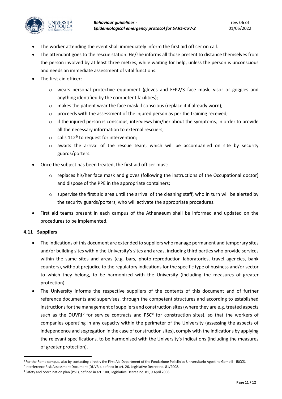

- The worker attending the event shall immediately inform the first aid officer on call.
- The attendant goes to the rescue station. He/she informs all those present to distance themselves from the person involved by at least three metres, while waiting for help, unless the person is unconscious and needs an immediate assessment of vital functions.
- The first aid officer:
	- $\circ$  wears personal protective equipment (gloves and FFP2/3 face mask, visor or goggles and anything identified by the competent facilities);
	- $\circ$  makes the patient wear the face mask if conscious (replace it if already worn);
	- $\circ$  proceeds with the assessment of the injured person as per the training received;
	- $\circ$  if the injured person is conscious, interviews him/her about the symptoms, in order to provide all the necessary information to external rescuers;
	- $\circ$  calls 112<sup>[6](#page-10-0)</sup> to request for intervention:
	- o awaits the arrival of the rescue team, which will be accompanied on site by security guards/porters.
- Once the subject has been treated, the first aid officer must:
	- o replaces his/her face mask and gloves (following the instructions of the Occupational doctor) and dispose of the PPE in the appropriate containers;
	- $\circ$  supervise the first aid area until the arrival of the cleaning staff, who in turn will be alerted by the security guards/porters, who will activate the appropriate procedures.
- First aid teams present in each campus of the Athenaeum shall be informed and updated on the procedures to be implemented.

# **4.11 Suppliers**

-

- The indications of this document are extended to suppliers who manage permanent and temporary sites and/or building sites within the University's sites and areas, including third parties who provide services within the same sites and areas (e.g. bars, photo-reproduction laboratories, travel agencies, bank counters), without prejudice to the regulatory indications for the specific type of business and/or sector to which they belong, to be harmonized with the University (including the measures of greater protection).
- The University informs the respective suppliers of the contents of this document and of further reference documents and supervises, through the competent structures and according to established instructions for the management of suppliers and construction sites (where they are e.g. treated aspects such as the DUVRI<sup>[7](#page-10-1)</sup> for service contracts and PSC<sup>[8](#page-10-2)</sup> for construction sites), so that the workers of companies operating in any capacity within the perimeter of the University (assessing the aspects of independence and segregation in the case of construction sites), comply with the indications by applying the relevant specifications, to be harmonised with the University's indications (including the measures of greater protection).

<span id="page-10-0"></span><sup>&</sup>lt;sup>6</sup> For the Rome campus, also by contacting directly the First Aid Department of the Fondazione Policlinico Universitario Agostino Gemelli - IRCCS.

<span id="page-10-1"></span><sup>7</sup> Interference Risk Assessment Document (DUVRI), defined in art. 26, Legislative Decree no. 81/2008.

<span id="page-10-2"></span><sup>8</sup> Safety and coordination plan (PSC), defined in art. 100, Legislative Decree no. 81, 9 April 2008.